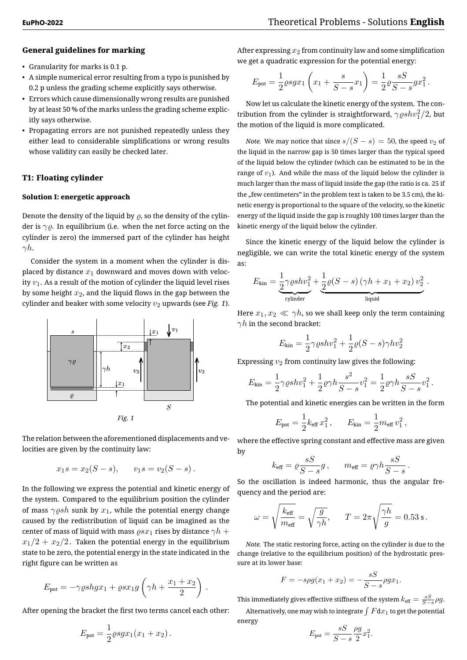# **General guidelines for marking**

- Granularity for marks is 0.1 p.
- A simple numerical error resulting from a typo is punished by 0.2 p unless the grading scheme explicitly says otherwise.
- Errors which cause dimensionally wrong results are punished by at least 50 % of the marks unless the grading scheme explicitly says otherwise.
- Propagating errors are not punished repeatedly unless they either lead to considerable simplifications or wrong results whose validity can easily be checked later.

# **T1: Floating cylinder**

# **Solution I: energetic approach**

Denote the density of the liquid by  $\rho$ , so the density of the cylinder is *γϱ*. In equilibrium (i.e. when the net force acting on the cylinder is zero) the immersed part of the cylinder has height *γh*.

Consider the system in a moment when the cylinder is displaced by distance  $x_1$  downward and moves down with velocity  $v_1$ . As a result of the motion of cylinder the liquid level rises by some height *x*2, and the liquid flows in the gap between the cylinder and beaker with some velocity  $v_2$  upwards (see *Fig. 1*).



The relation between the aforementioned displacements and velocities are given by the continuity law:

$$
x_1s = x_2(S - s),
$$
  $v_1s = v_2(S - s).$ 

In the following we express the potential and kinetic energy of the system. Compared to the equilibrium position the cylinder of mass  $\gamma \rho sh$  sunk by  $x_1$ , while the potential energy change caused by the redistribution of liquid can be imagined as the center of mass of liquid with mass  $\rho s x_1$  rises by distance  $\gamma h +$  $x_1/2 + x_2/2$ . Taken the potential energy in the equilibrium state to be zero, the potential energy in the state indicated in the right figure can be written as

$$
E_{\text{pot}} = -\gamma \varrho sh g x_1 + \varrho s x_1 g \left( \gamma h + \frac{x_1 + x_2}{2} \right) .
$$

After opening the bracket the first two terms cancel each other:

$$
E_{\rm pot} = \frac{1}{2} \varrho s g x_1 (x_1 + x_2).
$$

After expressing  $x_2$  from continuity law and some simplification we get a quadratic expression for the potential energy:

$$
E_{\rm pot} = \frac{1}{2} \rho s g x_1 \left( x_1 + \frac{s}{S - s} x_1 \right) = \frac{1}{2} \rho \frac{sS}{S - s} g x_1^2.
$$

Now let us calculate the kinetic energy of the system. The contribution from the cylinder is straightforward,  $\gamma \varrho shv_1^2/2$ , but the motion of the liquid is more complicated.

*Note.* We may notice that since  $s/(S - s) = 50$ , the speed  $v_2$  of the liquid in the narrow gap is 50 times larger than the typical speed of the liquid below the cylinder (which can be estimated to be in the range of *v*1). And while the mass of the liquid below the cylinder is much larger than the mass of liquid inside the gap (the ratio is ca. 25 if the "few centimeters" in the problem text is taken to be 3.5 cm), the kinetic energy is proportional to the square of the velocity, so the kinetic energy of the liquid inside the gap is roughly 100 times larger than the kinetic energy of the liquid below the cylinder.

Since the kinetic energy of the liquid below the cylinder is negligible, we can write the total kinetic energy of the system as:

$$
E_{\text{kin}} = \underbrace{\frac{1}{2} \gamma \varrho sh v_1^2}_{\text{cylinder}} + \underbrace{\frac{1}{2} \varrho (S - s) \left( \gamma h + x_1 + x_2 \right) v_2^2}_{\text{liquid}}.
$$

Here  $x_1, x_2 \ll \gamma h$ , so we shall keep only the term containing *γh* in the second bracket:

$$
E_{\rm kin} = \frac{1}{2}\gamma \varrho sh v_1^2 + \frac{1}{2}\varrho(S-s)\gamma hv_2^2
$$

Expressing *v*<sup>2</sup> from continuity law gives the following:

$$
E_{\rm kin} = \frac{1}{2} \gamma \varrho sh v_1^2 + \frac{1}{2} \varrho \gamma h \frac{s^2}{S - s} v_1^2 = \frac{1}{2} \varrho \gamma h \frac{sS}{S - s} v_1^2.
$$

The potential and kinetic energies can be written in the form

$$
E_{\rm pot} = \frac{1}{2} k_{\rm eff} x_1^2 \,, \qquad E_{\rm kin} = \frac{1}{2} m_{\rm eff} v_1^2 \,,
$$

where the effective spring constant and effective mass are given by

$$
k_{\text{eff}} = \rho \frac{sS}{S - s} g
$$
,  $m_{\text{eff}} = \rho \gamma h \frac{sS}{S - s}$ .

So the oscillation is indeed harmonic, thus the angular frequency and the period are:

$$
\omega = \sqrt{\frac{k_{\rm eff}}{m_{\rm eff}}} = \sqrt{\frac{g}{\gamma h}}, \qquad T = 2\pi \sqrt{\frac{\gamma h}{g}} = 0.53 \text{ s}.
$$

*Note.* The static restoring force, acting on the cylinder is due to the change (relative to the equilibrium position) of the hydrostatic pressure at its lower base:

$$
F = -sgg(x_1 + x_2) = -\frac{sS}{S - s}\rho gx_1.
$$

This immediately gives effective stiffness of the system  $k_{\text{eff}} = \frac{sS}{S - s} \rho g$ .

Alternatively, one may wish to integrate  $\int F \mathrm{d}x_1$  to get the potential energy

$$
E_{\rm pot} = \frac{sS}{S - s} \frac{\rho g}{2} x_1^2.
$$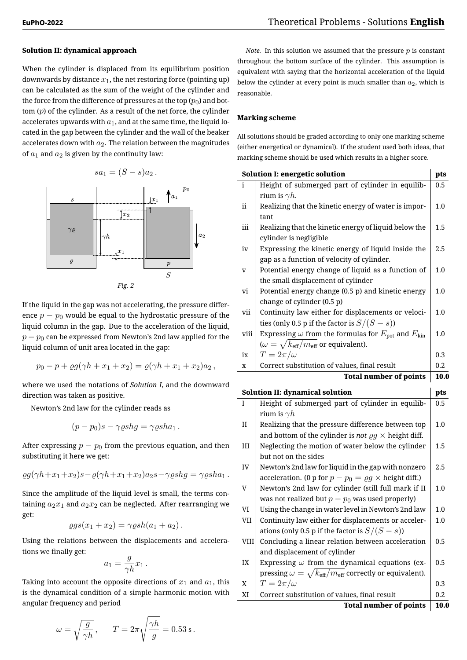### **Solution II: dynamical approach**

When the cylinder is displaced from its equilibrium position downwards by distance  $x_1$ , the net restoring force (pointing up) can be calculated as the sum of the weight of the cylinder and the force from the difference of pressures at the top  $(p_0)$  and bottom (*p*) of the cylinder. As a result of the net force, the cylinder accelerates upwards with  $a_1$ , and at the same time, the liquid located in the gap between the cylinder and the wall of the beaker accelerates down with  $a_2$ . The relation between the magnitudes of  $a_1$  and  $a_2$  is given by the continuity law:

$$
sa_1=(S-s)a_2.
$$



If the liquid in the gap was not accelerating, the pressure difference  $p - p_0$  would be equal to the hydrostatic pressure of the liquid column in the gap. Due to the acceleration of the liquid, *p* − *p*<sub>0</sub> can be expressed from Newton's 2nd law applied for the liquid column of unit area located in the gap:

$$
p_0 - p + \varrho g(\gamma h + x_1 + x_2) = \varrho(\gamma h + x_1 + x_2)a_2,
$$

where we used the notations of *Solution I*, and the downward direction was taken as positive.

Newton's 2nd law for the cylinder reads as

$$
(p-p_0)s - \gamma \varrho shg = \gamma \varrho sha_1.
$$

After expressing  $p - p_0$  from the previous equation, and then substituting it here we get:

$$
\varrho g(\gamma h + x_1 + x_2)s - \varrho(\gamma h + x_1 + x_2)a_2s - \gamma \varrho shg = \gamma \varrho sha_1.
$$

Since the amplitude of the liquid level is small, the terms containing  $a_2x_1$  and  $a_2x_2$  can be neglected. After rearranging we get:

$$
\varrho gs(x_1+x_2)=\gamma \varrho sh(a_1+a_2).
$$

Using the relations between the displacements and accelerations we finally get:

$$
a_1 = \frac{g}{\gamma h} x_1 \, .
$$

Taking into account the opposite directions of  $x_1$  and  $a_1$ , this is the dynamical condition of a simple harmonic motion with angular frequency and period

$$
\omega = \sqrt{\frac{g}{\gamma h}}\,,\qquad T = 2\pi\sqrt{\frac{\gamma h}{g}} = 0.53\,\mathrm{s}\,.
$$

*Note.* In this solution we assumed that the pressure *p* is constant throughout the bottom surface of the cylinder. This assumption is equivalent with saying that the horizontal acceleration of the liquid below the cylinder at every point is much smaller than  $a_2$ , which is reasonable.

# **Marking scheme**

All solutions should be graded according to only one marking scheme (either energetical or dynamical). If the student used both ideas, that marking scheme should be used which results in a higher score.

|              | <b>Solution I: energetic solution</b>                                                                                    | pts        |
|--------------|--------------------------------------------------------------------------------------------------------------------------|------------|
| i            | Height of submerged part of cylinder in equilib-                                                                         | $0.5\,$    |
|              | rium is $\gamma h$ .                                                                                                     |            |
| ii           | Realizing that the kinetic energy of water is impor-                                                                     | 1.0        |
|              | tant                                                                                                                     |            |
| iii          | Realizing that the kinetic energy of liquid below the                                                                    | 1.5        |
|              | cylinder is negligible                                                                                                   |            |
| iv           | Expressing the kinetic energy of liquid inside the                                                                       | 2.5        |
|              | gap as a function of velocity of cylinder.                                                                               |            |
| v            | Potential energy change of liquid as a function of                                                                       | 1.0        |
|              | the small displacement of cylinder                                                                                       |            |
| vi           | Potential energy change (0.5 p) and kinetic energy                                                                       | 1.0        |
|              | change of cylinder (0.5 p)                                                                                               |            |
| vii          | Continuity law either for displacements or veloci-                                                                       | 1.0        |
|              | ties (only 0.5 p if the factor is $S/(S-s)$ )                                                                            |            |
| viii         | Expressing $\omega$ from the formulas for $E_{\text{pot}}$ and $E_{\text{kin}}$                                          | 1.0        |
|              | ( $\omega = \sqrt{k_{\text{eff}}/m_{\text{eff}}}$ or equivalent).                                                        |            |
| ix           | $T=2\pi/\omega$                                                                                                          | 0.3        |
| X            | Correct substitution of values, final result                                                                             | 0.2        |
|              | <b>Total number of points</b>                                                                                            | 10.0       |
|              |                                                                                                                          |            |
|              |                                                                                                                          |            |
| Ι            | <b>Solution II: dynamical solution</b>                                                                                   | pts<br>0.5 |
|              | Height of submerged part of cylinder in equilib-                                                                         |            |
|              | rium is $\gamma h$                                                                                                       |            |
| $\mathbf{I}$ | Realizing that the pressure difference between top                                                                       | 1.0        |
| $\rm III$    | and bottom of the cylinder is not $\varrho g \times$ height diff.                                                        | 1.5        |
|              | Neglecting the motion of water below the cylinder<br>but not on the sides                                                |            |
| IV           |                                                                                                                          | 2.5        |
|              | Newton's 2nd law for liquid in the gap with nonzero<br>acceleration. (0 p for $p - p_0 = \varrho g \times$ height diff.) |            |
| V            | Newton's 2nd law for cylinder (still full mark if II                                                                     | 1.0        |
|              | was not realized but $p - p_0$ was used properly)                                                                        |            |
| VI           | Using the change in water level in Newton's 2nd law                                                                      | 1.0        |
| VII          |                                                                                                                          | $1.0\,$    |
|              | Continuity law either for displacements or acceler-                                                                      |            |
| <b>VIII</b>  | ations (only 0.5 p if the factor is $S/(S-s)$ )<br>Concluding a linear relation between acceleration                     | 0.5        |
|              | and displacement of cylinder                                                                                             |            |
| IX           | Expressing $\omega$ from the dynamical equations (ex-                                                                    | 0.5        |
|              | pressing $\omega = \sqrt{k_{\text{eff}}/m_{\text{eff}}}$ correctly or equivalent).                                       |            |
| X            | $T=2\pi/\omega$                                                                                                          | 0.3        |
| XI           | Correct substitution of values, final result                                                                             | $0.2\,$    |

**Total number of points 10.0**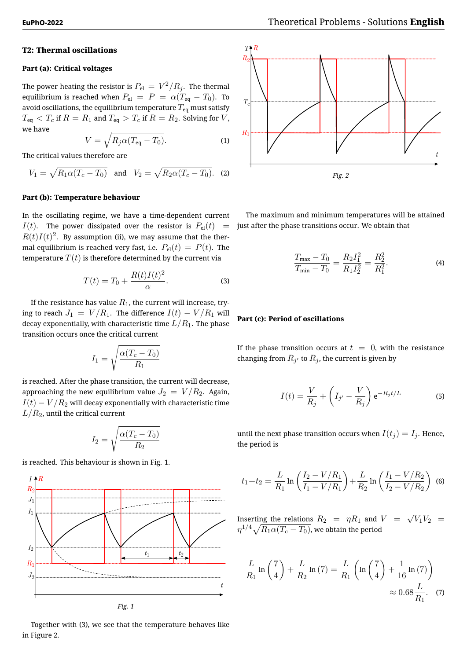#### **T2: Thermal oscillations**

#### **Part (a): Critical voltages**

The power heating the resistor is  $P_{\rm el} \, = \, V^2 / R_j.$  The thermal equilibrium is reached when  $P_{el} = P = \alpha (T_{eq} - T_0)$ . To avoid oscillations, the equilibrium temperature  $T_{\text{eq}}$  must satisfy  $T_{\text{eq}} < T_c$  if  $R = R_1$  and  $T_{\text{eq}} > T_c$  if  $R = R_2$ . Solving for *V*, we have

$$
V = \sqrt{R_j \alpha (T_{\text{eq}} - T_0)}.
$$
 (1)

The critical values therefore are

$$
V_1 = \sqrt{R_1 \alpha (T_c - T_0)}
$$
 and 
$$
V_2 = \sqrt{R_2 \alpha (T_c - T_0)}
$$
. (2)

#### **Part (b): Temperature behaviour**

In the oscillating regime, we have a time-dependent current *I*(*t*). The power dissipated over the resistor is  $P_{el}(t)$  =  $R(t) I(t)^2.$  By assumption (ii), we may assume that the thermal equilibrium is reached very fast, i.e.  $P_{el}(t) = P(t)$ . The temperature  $T(t)$  is therefore determined by the current via

$$
T(t) = T_0 + \frac{R(t)I(t)^2}{\alpha}.
$$
 (3)

If the resistance has value  $R_1$ , the current will increase, trying to reach  $J_1 = V/R_1$ . The difference  $I(t) - V/R_1$  will decay exponentially, with characteristic time  $L/R<sub>1</sub>$ . The phase transition occurs once the critical current

$$
I_1 = \sqrt{\frac{\alpha (T_c - T_0)}{R_1}}
$$

is reached. After the phase transition, the current will decrease, approaching the new equilibrium value  $J_2 = V/R_2$ . Again,  $I(t) - V/R_2$  will decay exponentially with characteristic time  $L/R<sub>2</sub>$ , until the critical current

$$
I_2 = \sqrt{\frac{\alpha (T_c - T_0)}{R_2}}
$$

is reached. This behaviour is shown in Fig. 1.



*Fig. 1*

Together with (3), we see that the temperature behaves like in Figure 2.



The maximum and minimum temperatures will be attained just after the phase transitions occur. We obtain that

$$
\frac{T_{\text{max}} - T_0}{T_{\text{min}} - T_0} = \frac{R_2 I_1^2}{R_1 I_2^2} = \frac{R_2^2}{R_1^2}.
$$
\n(4)

#### **Part (c): Period of oscillations**

If the phase transition occurs at  $t = 0$ , with the resistance changing from  $R_{j'}$  to  $R_j$ , the current is given by

$$
I(t) = \frac{V}{R_j} + \left(I_{j'} - \frac{V}{R_j}\right) e^{-R_j t/L}
$$
 (5)

until the next phase transition occurs when  $I(t_i) = I_i$ . Hence, the period is

$$
t_1 + t_2 = \frac{L}{R_1} \ln \left( \frac{I_2 - V/R_1}{I_1 - V/R_1} \right) + \frac{L}{R_2} \ln \left( \frac{I_1 - V/R_2}{I_2 - V/R_2} \right) \tag{6}
$$

Inserting the relations  $R_2$  =  $\eta R_1$  and  $V$  =  $\sqrt{V_1 V_2}$  =  $\eta^{1/4}\sqrt{R_1\alpha(T_c-T_0)}$ , we obtain the period

$$
\frac{L}{R_1} \ln\left(\frac{7}{4}\right) + \frac{L}{R_2} \ln\left(7\right) = \frac{L}{R_1} \left(\ln\left(\frac{7}{4}\right) + \frac{1}{16} \ln\left(7\right)\right) \approx 0.68 \frac{L}{R_1}.\tag{7}
$$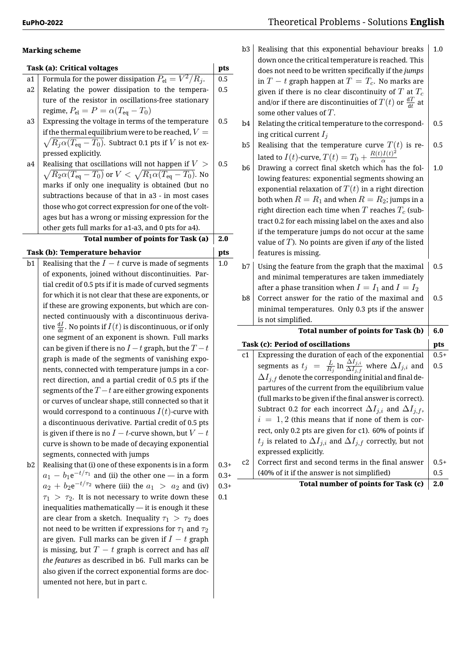#### **Marking scheme**

|    | <b>Task (a): Critical voltages</b>                                                              | pts     |
|----|-------------------------------------------------------------------------------------------------|---------|
| a1 | Formula for the power dissipation $\overline{P_{\rm el}=V^2/R_i}.$                              | 0.5     |
| a2 | Relating the power dissipation to the tempera-                                                  | 0.5     |
|    | ture of the resistor in oscillations-free stationary                                            |         |
|    | regime, $P_{\text{el}} = P = \alpha (T_{\text{eq}} - T_0)$                                      |         |
| a3 | Expressing the voltage in terms of the temperature                                              | 0.5     |
|    | if the thermal equilibrium were to be reached, $V=\,$                                           |         |
|    | $\sqrt{R_{j}\alpha(T_{\text{eq}}-T_{0})}.$ Subtract 0.1 pts if $V$ is not ex-                   |         |
|    | pressed explicitly.                                                                             |         |
| a4 | Realising that oscillations will not happen if $V >$                                            | 0.5     |
|    | $\sqrt{R_2 \alpha (T_{\text{eq}} - T_0)}$ or $V < \sqrt{R_1 \alpha (T_{\text{eq}} - T_0)}$ . No |         |
|    | marks if only one inequality is obtained (but no                                                |         |
|    | subtractions because of that in a3 - in most cases                                              |         |
|    | those who got correct expression for one of the volt-                                           |         |
|    | ages but has a wrong or missing expression for the                                              |         |
|    | other gets full marks for a1-a3, and 0 pts for a4).                                             |         |
|    | <b>Total number of points for Task (a)</b>                                                      | 2.0     |
|    | <b>Task (b): Temperature behavior</b>                                                           | pts     |
| b1 | Realising that the $I - t$ curve is made of segments                                            | $1.0\,$ |
|    |                                                                                                 |         |
|    | of exponents, joined without discontinuities. Par-                                              |         |
|    | tial credit of 0.5 pts if it is made of curved segments                                         |         |
|    | for which it is not clear that these are exponents, or                                          |         |
|    | if these are growing exponents, but which are con-                                              |         |
|    | nected continuously with a discontinuous deriva-                                                |         |
|    | tive $\frac{dI}{dt}$ . No points if $I(t)$ is discontinuous, or if only                         |         |
|    | one segment of an exponent is shown. Full marks                                                 |         |
|    | can be given if there is no $I-t$ graph, but the $T-t$                                          |         |
|    | graph is made of the segments of vanishing expo-                                                |         |
|    | nents, connected with temperature jumps in a cor-                                               |         |
|    | rect direction, and a partial credit of 0.5 pts if the                                          |         |
|    | segments of the $T-t$ are either growing exponents                                              |         |
|    | or curves of unclear shape, still connected so that it                                          |         |
|    | would correspond to a continuous $I(t)\mbox{-}{\rm curve}$ with                                 |         |
|    | a discontinuous derivative. Partial credit of 0.5 pts                                           |         |
|    | is given if there is no $I-t$ -curve shown, but $V-t$                                           |         |
|    | curve is shown to be made of decaying exponential                                               |         |
| b2 | segments, connected with jumps<br>Realising that (i) one of these exponents is in a form        | $0.3+$  |

 $b2$  Realising that (i) one of these exponents is in a form  $a_1 - b_1 e^{-t/\tau_1}$  and (ii) the other one — in a form  $a_2 + b_2 \mathrm{e}^{-t/\tau_2}$  where (iii) the  $a_1$   $>$   $a_2$  and (iv)  $\tau_1$  >  $\tau_2$ . It is not necessary to write down these inequalities mathematically — it is enough it these are clear from a sketch. Inequality  $\tau_1 > \tau_2$  does not need to be written if expressions for  $\tau_1$  and  $\tau_2$ are given. Full marks can be given if *I − t* graph is missing, but *T − t* graph is correct and has *all the features* as described in b6. Full marks can be also given if the correct exponential forms are documented not here, but in part c.

|         | b3             | Realising that this exponential behaviour breaks                                                                    | 1.0    |
|---------|----------------|---------------------------------------------------------------------------------------------------------------------|--------|
| pts     |                | down once the critical temperature is reached. This                                                                 |        |
| 0.5     |                | does not need to be written specifically if the jumps                                                               |        |
| 0.5     |                | in $T-t$ graph happen at $T=T_c$ . No marks are                                                                     |        |
|         |                | given if there is no clear discontinuity of $T$ at $T_c$                                                            |        |
|         |                | and/or if there are discontinuities of $T(t)$ or $\frac{\mathrm{d}T}{\mathrm{d}t}$ at<br>some other values of $T$ . |        |
| 0.5     |                |                                                                                                                     |        |
|         | b4             | Relating the critical temperature to the correspond-                                                                | 0.5    |
|         |                | ing critical current $I_j$                                                                                          |        |
|         | b <sub>5</sub> | Realising that the temperature curve $T(t)$ is re-                                                                  | 0.5    |
| 0.5     |                | lated to $I(t)$ -curve, $T(t) = T_0 + \frac{R(t)I(t)^2}{\alpha}$                                                    |        |
|         | b6             | Drawing a correct final sketch which has the fol-                                                                   | 1.0    |
|         |                | lowing features: exponential segments showing an                                                                    |        |
|         |                | exponential relaxation of $T(t)$ in a right direction                                                               |        |
|         |                | both when $R = R_1$ and when $R = R_2$ ; jumps in a                                                                 |        |
|         |                | right direction each time when $T$ reaches $T_c$ (sub-                                                              |        |
|         |                | tract 0.2 for each missing label on the axes and also                                                               |        |
| 2.0     |                | if the temperature jumps do not occur at the same                                                                   |        |
|         |                | value of $T$ ). No points are given if any of the listed                                                            |        |
| pts     |                | features is missing.                                                                                                |        |
| 1.0     | b7             | Using the feature from the graph that the maximal                                                                   | 0.5    |
|         |                | and minimal temperatures are taken immediately                                                                      |        |
|         |                | after a phase transition when $I=I_1$ and $I=I_2$                                                                   |        |
|         | b8             | Correct answer for the ratio of the maximal and                                                                     | 0.5    |
|         |                | minimal temperatures. Only 0.3 pts if the answer                                                                    |        |
|         |                | is not simplified.                                                                                                  |        |
|         |                | <b>Total number of points for Task (b)</b>                                                                          | 6.0    |
|         |                | <b>Task (c): Period of oscillations</b>                                                                             | pts    |
|         | c1             | Expressing the duration of each of the exponential                                                                  | $0.5+$ |
|         |                | segments as $t_j = \frac{L}{R_j} \ln \frac{\Delta I_{j,i}}{\Delta I_{j,f}}$ where $\Delta I_{j,i}$ and              | 0.5    |
|         |                | $\Delta I_{j,f}$ denote the corresponding initial and final de-                                                     |        |
|         |                | partures of the current from the equilibrium value                                                                  |        |
|         |                | (full marks to be given if the final answer is correct).                                                            |        |
|         |                | Subtract 0.2 for each incorrect $\Delta I_{j,i}$ and $\Delta I_{j,f}$ ,                                             |        |
|         |                | $i = 1,2$ (this means that if none of them is cor-                                                                  |        |
|         |                | rect, only 0.2 pts are given for c1). 60% of points if                                                              |        |
|         |                | $t_j$ is related to $\Delta I_{j,i}$ and $\Delta I_{j,f}$ correctly, but not                                        |        |
|         |                | expressed explicitly.                                                                                               |        |
| $0.3 +$ | c2             | Correct first and second terms in the final answer                                                                  | $0.5+$ |
| $0.3+$  |                | (40% of it if the answer is not simplified)                                                                         | 0.5    |
| $0.3+$  |                | <b>Total number of points for Task (c)</b>                                                                          | 2.0    |

0.1

**Total number of points for Task (c) 2.0**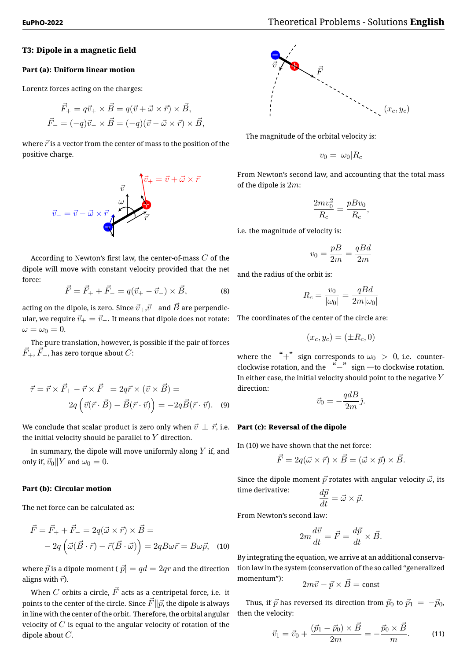## **T3: Dipole in a magnetic field**

#### **Part (a): Uniform linear motion**

Lorentz forces acting on the charges:

$$
\vec{F}_{+} = q\vec{v}_{+} \times \vec{B} = q(\vec{v} + \vec{\omega} \times \vec{r}) \times \vec{B},
$$
  

$$
\vec{F}_{-} = (-q)\vec{v}_{-} \times \vec{B} = (-q)(\vec{v} - \vec{\omega} \times \vec{r}) \times \vec{B},
$$

where  $\vec{r}$  is a vector from the center of mass to the position of the positive charge.



According to Newton's first law, the center-of-mass *C* of the dipole will move with constant velocity provided that the net force:

$$
\vec{F} = \vec{F}_{+} + \vec{F}_{-} = q(\vec{v}_{+} - \vec{v}_{-}) \times \vec{B},
$$
 (8)

acting on the dipole, is zero. Since  $\vec{v}_+$ , $\vec{v}_-$  and  $\vec{B}$  are perpendicular, we require  $\vec{v}_+ = \vec{v}_-$ . It means that dipole does not rotate:  $\omega = \omega_0 = 0.$ 

The pure translation, however, is possible if the pair of forces  $\vec{F}_{+}, \vec{F}_{-}$ , has zero torque about  $C$ :

$$
\vec{\tau} = \vec{r} \times \vec{F}_{+} - \vec{r} \times \vec{F}_{-} = 2q\vec{r} \times (\vec{v} \times \vec{B}) =
$$

$$
2q\left(\vec{v}(\vec{r} \cdot \vec{B}) - \vec{B}(\vec{r} \cdot \vec{v})\right) = -2q\vec{B}(\vec{r} \cdot \vec{v}). \quad (9)
$$

We conclude that scalar product is zero only when  $\vec{v} \perp \vec{r}$ , i.e. **Part (c): Reversal of the dipole** the initial velocity should be parallel to *Y* direction.

In summary, the dipole will move uniformly along *Y* if, and only if,  $\vec{v}_0$ <sup>*|*</sup>*Y* and  $\omega_0 = 0$ .

#### **Part (b): Circular motion**

The net force can be calculated as:

$$
\vec{F} = \vec{F}_{+} + \vec{F}_{-} = 2q(\vec{\omega} \times \vec{r}) \times \vec{B} =
$$

$$
-2q(\vec{\omega}(\vec{B} \cdot \vec{r}) - \vec{r}(\vec{B} \cdot \vec{\omega})) = 2qB\omega\vec{r} = B\omega\vec{p}, \quad (10)
$$

where  $\vec{p}$  is a dipole moment ( $|\vec{p}| = qd = 2qr$  and the direction aligns with  $\vec{r}$ ).

When  $C$  orbits a circle,  $\vec{F}$  acts as a centripetal force, i.e. it points to the center of the circle. Since  $\vec{F}$  $\parallel \vec{p}$ , the dipole is always in line with the center of the orbit. Therefore, the orbital angular velocity of *C* is equal to the angular velocity of rotation of the dipole about *C*.



The magnitude of the orbital velocity is:

$$
v_0 = |\omega_0| R_c
$$

From Newton's second law, and accounting that the total mass of the dipole is 2*m*:

$$
\frac{2mv_0^2}{R_c} = \frac{pBv_0}{R_c},
$$

i.e. the magnitude of velocity is:

$$
v_0 = \frac{pB}{2m} = \frac{qBd}{2m}
$$

and the radius of the orbit is:

$$
R_c = \frac{v_0}{|\omega_0|} = \frac{qBd}{2m|\omega_0|}
$$

The coordinates of the center of the circle are:

$$
(x_c, y_c) = (\pm R_c, 0)
$$

where the "+" sign corresponds to  $\omega_0 > 0$ , i.e. counterclockwise rotation, and the "*−*"sign —to clockwise rotation. In either case, the initial velocity should point to the negative *Y* direction:

$$
\vec{v}_0 = -\frac{qdB}{2m}\hat{j}.
$$

In (10) we have shown that the net force:

$$
\vec{F} = 2q(\vec{\omega} \times \vec{r}) \times \vec{B} = (\vec{\omega} \times \vec{p}) \times \vec{B}.
$$

Since the dipole moment  $\vec{p}$  rotates with angular velocity  $\vec{\omega}$ , its time derivative: *d*<sub>p</sub><sup>2</sup>

$$
\frac{ap}{dt} = \vec{\omega} \times \vec{p}.
$$

From Newton's second law:

$$
2m\frac{d\vec{v}}{dt} = \vec{F} = \frac{d\vec{p}}{dt} \times \vec{B}.
$$

By integrating the equation, we arrive at an additional conservation law in the system (conservation of the so called "generalized momentum"):

$$
2m\vec{v} - \vec{p} \times \vec{B} = \text{const}
$$

Thus, if  $\vec{p}$  has reversed its direction from  $\vec{p}_0$  to  $\vec{p}_1 = -\vec{p}_0$ , then the velocity:

$$
\vec{v}_1 = \vec{v}_0 + \frac{(\vec{p}_1 - \vec{p}_0) \times \vec{B}}{2m} = -\frac{\vec{p}_0 \times \vec{B}}{m}.
$$
 (11)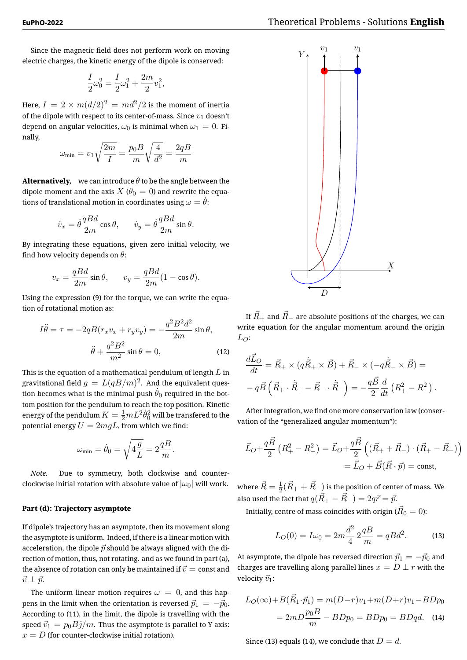Since the magnetic field does not perform work on moving electric charges, the kinetic energy of the dipole is conserved:

$$
\frac{I}{2}\omega_0^2 = \frac{I}{2}\omega_1^2 + \frac{2m}{2}v_1^2,
$$

Here,  $I = 2 \times m(d/2)^2 = md^2/2$  is the moment of inertia of the dipole with respect to its center-of-mass. Since *v*<sup>1</sup> doesn't depend on angular velocities,  $\omega_0$  is minimal when  $\omega_1 = 0$ . Finally,

$$
\omega_{\min} = v_1 \sqrt{\frac{2m}{I}} = \frac{p_0 B}{m} \sqrt{\frac{4}{d^2}} = \frac{2qB}{m}
$$

**Alternatively,** we can introduce  $\theta$  to be the angle between the dipole moment and the axis  $X$  ( $\theta_0 = 0$ ) and rewrite the equations of translational motion in coordinates using  $\omega = \theta$ :

$$
\dot{v}_x = \dot{\theta} \frac{qBd}{2m} \cos \theta, \qquad \dot{v}_y = \dot{\theta} \frac{qBd}{2m} \sin \theta.
$$

By integrating these equations, given zero initial velocity, we find how velocity depends on *θ*:

$$
v_x = \frac{qBd}{2m}\sin\theta
$$
,  $v_y = \frac{qBd}{2m}(1 - \cos\theta)$ .

Using the expression (9) for the torque, we can write the equation of rotational motion as:

$$
I\ddot{\theta} = \tau = -2qB(r_xv_x + r_yv_y) = -\frac{q^2B^2d^2}{2m}\sin\theta,
$$

$$
\ddot{\theta} + \frac{q^2B^2}{m^2}\sin\theta = 0,
$$
 (12)

This is the equation of a mathematical pendulum of length *L* in gravitational field  $g\,=\,L(qB/m)^2.$  And the equivalent question becomes what is the minimal push  $\dot{\theta}_0$  required in the bottom position for the pendulum to reach the top position. Kinetic energy of the pendulum  $K=\frac{1}{2}mL^2\dot{\theta}_0^2$  will be transfered to the potential energy  $U = 2mgL$ , from which we find:

$$
\omega_{\min} = \dot{\theta}_0 = \sqrt{4\frac{g}{L}} = 2\frac{qB}{m}.
$$

*Note.* Due to symmetry, both clockwise and counterclockwise initial rotation with absolute value of  $|\omega_0|$  will work.

# **Part (d): Trajectory asymptote**

If dipole's trajectory has an asymptote, then its movement along the asymptote is uniform. Indeed, if there is a linear motion with acceleration, the dipole  $\vec{p}$  should be always aligned with the direction of motion, thus, not rotating. and as we found in part (a), the absence of rotation can only be maintained if  $\vec{v} = \text{const}$  and  $\vec{v}$  ⊥  $\vec{p}$ .

The uniform linear motion requires  $\omega = 0$ , and this happens in the limit when the orientation is reversed  $\vec{p}_1 = -\vec{p}_0$ . According to (11), in the limit, the dipole is travelling with the speed  $\vec{v}_1 = p_0 B \hat{\jmath}/m$ . Thus the asymptote is parallel to Y axis:  $x = D$  (for counter-clockwise initial rotation).



If  $\vec{R}_+$  and  $\vec{R}_-$  are absolute positions of the charges, we can write equation for the angular momentum around the origin  $L_O$ :

$$
\frac{d\vec{L}_O}{dt} = \vec{R}_+ \times (q\dot{\vec{R}}_+ \times \vec{B}) + \vec{R}_- \times (-q\dot{\vec{R}}_- \times \vec{B}) =
$$
  
-  $q\vec{B} (\vec{R}_+ \cdot \dot{\vec{R}}_+ - \vec{R}_- \cdot \dot{\vec{R}}_-) = -\frac{q\vec{B}}{2} \frac{d}{dt} (R_+^2 - R_-^2).$ 

After integration, we find one more conservation law (conservation of the "generalized angular momentum"):

$$
\vec{L}_O + \frac{q\vec{B}}{2} (R_+^2 - R_-^2) = \vec{L}_O + \frac{q\vec{B}}{2} ((\vec{R}_+ + \vec{R}_-) \cdot (\vec{R}_+ - \vec{R}_-))
$$
  
=  $\vec{L}_O + \vec{B} (\vec{R} \cdot \vec{p}) = \text{const},$ 

where  $\vec{R}=\frac{1}{2}$  $\frac{1}{2}(\vec{R}_{+}+\vec{R}_{-})$  is the position of center of mass. We also used the fact that  $q(\vec{R}_{+} - \vec{R}_{-}) = 2q\vec{r} = \vec{p}$ .

Initially, centre of mass coincides with origin ( $\vec{R}_{0}=0$ ):

$$
L_O(0) = I\omega_0 = 2m\frac{d^2}{4} \, 2\frac{qB}{m} = qBd^2. \tag{13}
$$

At asymptote, the dipole has reversed direction  $\vec{p}_1 = -\vec{p}_0$  and charges are travelling along parallel lines  $x = D \pm r$  with the velocity  $\vec{v}_1$ :

$$
L_O(\infty) + B(\vec{R}_1 \cdot \vec{p}_1) = m(D - r)v_1 + m(D + r)v_1 - BDp_0
$$
  
=  $2mD \frac{p_0 B}{m} - BDp_0 = BDp_0 = BDqd.$  (14)

Since (13) equals (14), we conclude that  $D = d$ .